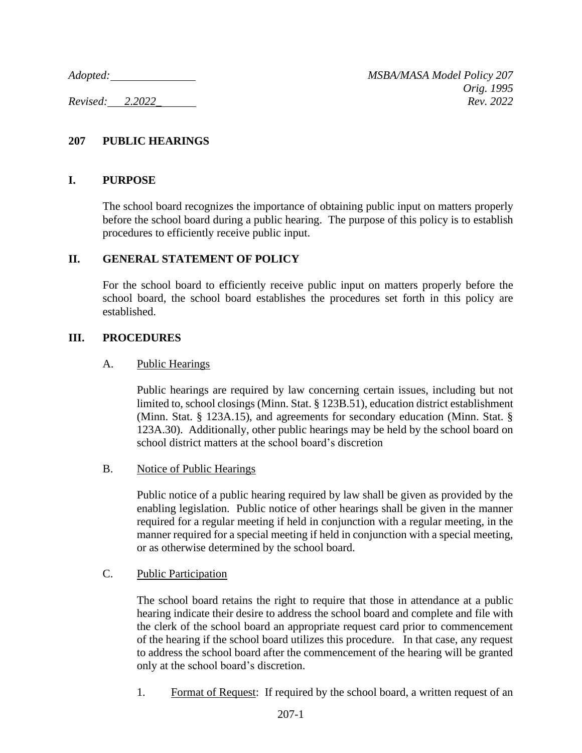*Adopted: MSBA/MASA Model Policy 207 Orig. 1995 Revised: 2.2022\_ Rev. 2022*

## **207 PUBLIC HEARINGS**

### **I. PURPOSE**

The school board recognizes the importance of obtaining public input on matters properly before the school board during a public hearing. The purpose of this policy is to establish procedures to efficiently receive public input.

## **II. GENERAL STATEMENT OF POLICY**

For the school board to efficiently receive public input on matters properly before the school board, the school board establishes the procedures set forth in this policy are established.

## **III. PROCEDURES**

#### A. Public Hearings

Public hearings are required by law concerning certain issues, including but not limited to, school closings (Minn. Stat. § 123B.51), education district establishment (Minn. Stat. § 123A.15), and agreements for secondary education (Minn. Stat. § 123A.30). Additionally, other public hearings may be held by the school board on school district matters at the school board's discretion

#### B. Notice of Public Hearings

Public notice of a public hearing required by law shall be given as provided by the enabling legislation. Public notice of other hearings shall be given in the manner required for a regular meeting if held in conjunction with a regular meeting, in the manner required for a special meeting if held in conjunction with a special meeting, or as otherwise determined by the school board.

#### C. Public Participation

The school board retains the right to require that those in attendance at a public hearing indicate their desire to address the school board and complete and file with the clerk of the school board an appropriate request card prior to commencement of the hearing if the school board utilizes this procedure. In that case, any request to address the school board after the commencement of the hearing will be granted only at the school board's discretion.

1. Format of Request: If required by the school board, a written request of an